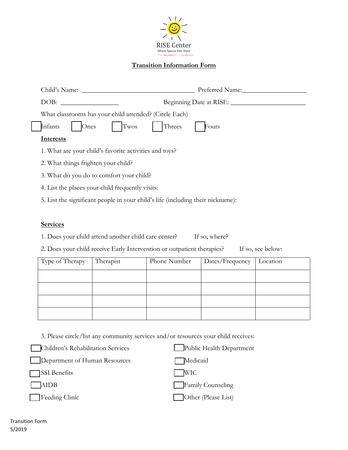

# **Transition Information Form**

| Child's Name:                                                                   | Preferred Name:         |
|---------------------------------------------------------------------------------|-------------------------|
| DOB:                                                                            | Beginning Date at RISE: |
| What classrooms has your child attended? (Circle Each)                          |                         |
| Infants<br>Twos<br>Threes<br>$\sum_{n \in \mathbb{Z}}$                          | Fours                   |
| <b>Interests</b>                                                                |                         |
| 1. What are your child's favorite activities and toys?                          |                         |
| 2. What things frighten your child?                                             |                         |
| 3. What do you do to comfort your child?                                        |                         |
| 4. List the places your child frequently visits:                                |                         |
| 5. List the significant people in your child's life (including their nickname): |                         |

## **Services**

1. Does your child attend another child care center? If so, where?

2. Does your child receive Early Intervention or outpatient therapies? If so, see below:

| Type of Therapy | Therapist | Phone Number | Dates/Frequency | Location |
|-----------------|-----------|--------------|-----------------|----------|
|                 |           |              |                 |          |
|                 |           |              |                 |          |
|                 |           |              |                 |          |
|                 |           |              |                 |          |

3. Please circle/list any community services and/or resources your child receives:

| Children's Rehabilitation Services | Public Health Department |
|------------------------------------|--------------------------|
| Department of Human Resources      | Medicaid                 |
| SSI Benefits                       | <b>WIC</b>               |
| AIDB                               | Family Counseling        |
| Feeding Clinic                     | Other (Please List)      |